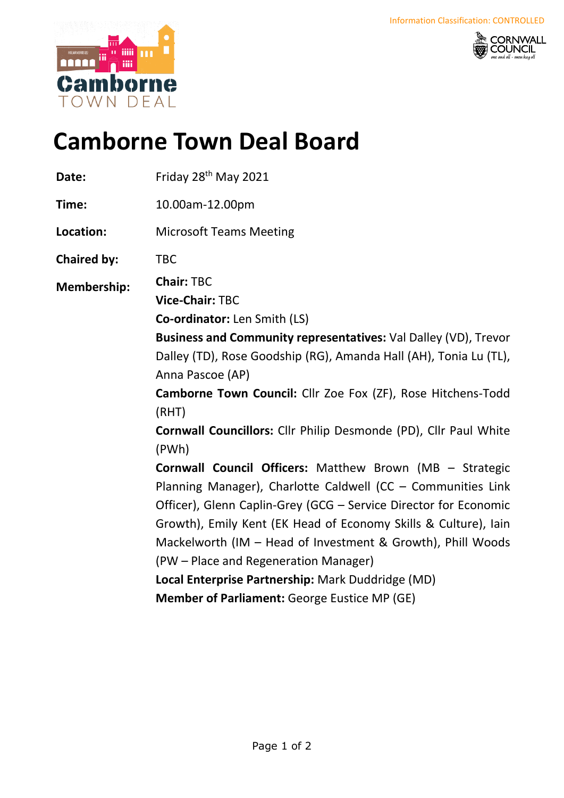



## **Camborne Town Deal Board**

| Date:              | Friday 28 <sup>th</sup> May 2021                                                                                                                                                                                                                                                                                                                                                                                                                                                                                                                                                                                                                                                                                                                                                       |
|--------------------|----------------------------------------------------------------------------------------------------------------------------------------------------------------------------------------------------------------------------------------------------------------------------------------------------------------------------------------------------------------------------------------------------------------------------------------------------------------------------------------------------------------------------------------------------------------------------------------------------------------------------------------------------------------------------------------------------------------------------------------------------------------------------------------|
| Time:              | 10.00am-12.00pm                                                                                                                                                                                                                                                                                                                                                                                                                                                                                                                                                                                                                                                                                                                                                                        |
| Location:          | <b>Microsoft Teams Meeting</b>                                                                                                                                                                                                                                                                                                                                                                                                                                                                                                                                                                                                                                                                                                                                                         |
| <b>Chaired by:</b> | <b>TBC</b>                                                                                                                                                                                                                                                                                                                                                                                                                                                                                                                                                                                                                                                                                                                                                                             |
| <b>Membership:</b> | <b>Chair: TBC</b><br><b>Vice-Chair: TBC</b><br><b>Co-ordinator:</b> Len Smith (LS)<br>Business and Community representatives: Val Dalley (VD), Trevor<br>Dalley (TD), Rose Goodship (RG), Amanda Hall (AH), Tonia Lu (TL),<br>Anna Pascoe (AP)<br>Camborne Town Council: Cllr Zoe Fox (ZF), Rose Hitchens-Todd<br>(RHT)<br>Cornwall Councillors: Cllr Philip Desmonde (PD), Cllr Paul White<br>(PWh)<br><b>Cornwall Council Officers:</b> Matthew Brown (MB - Strategic<br>Planning Manager), Charlotte Caldwell (CC - Communities Link<br>Officer), Glenn Caplin-Grey (GCG - Service Director for Economic<br>Growth), Emily Kent (EK Head of Economy Skills & Culture), Iain<br>Mackelworth (IM - Head of Investment & Growth), Phill Woods<br>(PW – Place and Regeneration Manager) |
|                    | Local Enterprise Partnership: Mark Duddridge (MD)                                                                                                                                                                                                                                                                                                                                                                                                                                                                                                                                                                                                                                                                                                                                      |
|                    | <b>Member of Parliament: George Eustice MP (GE)</b>                                                                                                                                                                                                                                                                                                                                                                                                                                                                                                                                                                                                                                                                                                                                    |